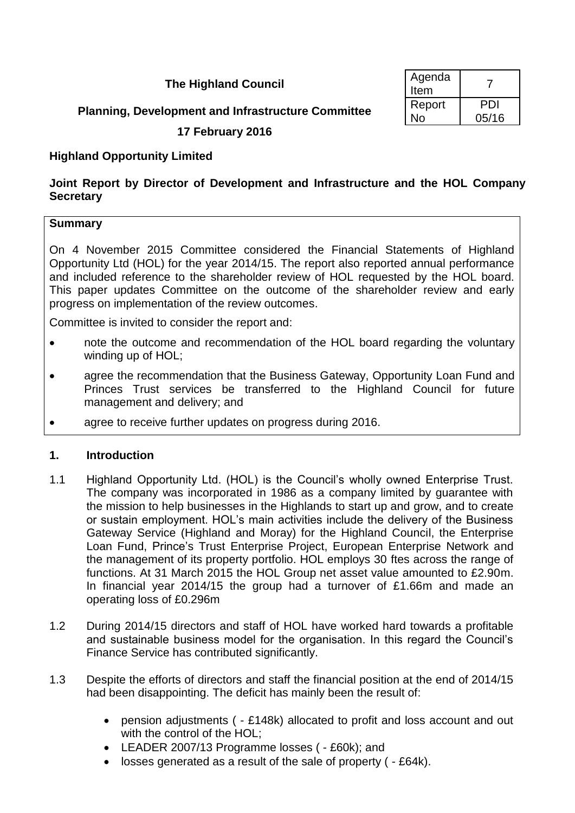# **The Highland Council**

# **Planning, Development and Infrastructure Committee**

## **17 February 2016**

## **Highland Opportunity Limited**

## **Joint Report by Director of Development and Infrastructure and the HOL Company Secretary**

### **Summary**

On 4 November 2015 Committee considered the Financial Statements of Highland Opportunity Ltd (HOL) for the year 2014/15. The report also reported annual performance and included reference to the shareholder review of HOL requested by the HOL board. This paper updates Committee on the outcome of the shareholder review and early progress on implementation of the review outcomes.

Committee is invited to consider the report and:

- note the outcome and recommendation of the HOL board regarding the voluntary winding up of HOL;
- agree the recommendation that the Business Gateway, Opportunity Loan Fund and Princes Trust services be transferred to the Highland Council for future management and delivery; and
- agree to receive further updates on progress during 2016.

### **1. Introduction**

- 1.1 Highland Opportunity Ltd. (HOL) is the Council's wholly owned Enterprise Trust. The company was incorporated in 1986 as a company limited by guarantee with the mission to help businesses in the Highlands to start up and grow, and to create or sustain employment. HOL's main activities include the delivery of the Business Gateway Service (Highland and Moray) for the Highland Council, the Enterprise Loan Fund, Prince's Trust Enterprise Project, European Enterprise Network and the management of its property portfolio. HOL employs 30 ftes across the range of functions. At 31 March 2015 the HOL Group net asset value amounted to £2.90m. In financial year 2014/15 the group had a turnover of £1.66m and made an operating loss of £0.296m
- 1.2 During 2014/15 directors and staff of HOL have worked hard towards a profitable and sustainable business model for the organisation. In this regard the Council's Finance Service has contributed significantly.
- 1.3 Despite the efforts of directors and staff the financial position at the end of 2014/15 had been disappointing. The deficit has mainly been the result of:
	- pension adjustments ( £148k) allocated to profit and loss account and out with the control of the HOL;
	- LEADER 2007/13 Programme losses ( £60k); and
	- losses generated as a result of the sale of property ( £64k).

| Agenda<br>Item |              |
|----------------|--------------|
| Report<br>N٥   | PDI<br>05/16 |
|                |              |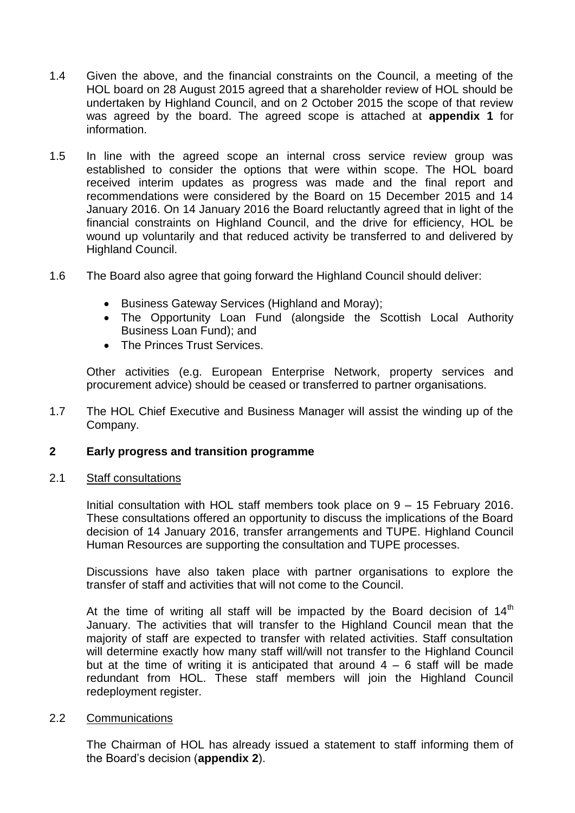- 1.4 Given the above, and the financial constraints on the Council, a meeting of the HOL board on 28 August 2015 agreed that a shareholder review of HOL should be undertaken by Highland Council, and on 2 October 2015 the scope of that review was agreed by the board. The agreed scope is attached at **appendix 1** for information.
- 1.5 In line with the agreed scope an internal cross service review group was established to consider the options that were within scope. The HOL board received interim updates as progress was made and the final report and recommendations were considered by the Board on 15 December 2015 and 14 January 2016. On 14 January 2016 the Board reluctantly agreed that in light of the financial constraints on Highland Council, and the drive for efficiency, HOL be wound up voluntarily and that reduced activity be transferred to and delivered by Highland Council.
- 1.6 The Board also agree that going forward the Highland Council should deliver:
	- Business Gateway Services (Highland and Moray);
	- The Opportunity Loan Fund (alongside the Scottish Local Authority Business Loan Fund); and
	- The Princes Trust Services.

Other activities (e.g. European Enterprise Network, property services and procurement advice) should be ceased or transferred to partner organisations.

1.7 The HOL Chief Executive and Business Manager will assist the winding up of the Company.

## **2 Early progress and transition programme**

### 2.1 Staff consultations

Initial consultation with HOL staff members took place on 9 – 15 February 2016. These consultations offered an opportunity to discuss the implications of the Board decision of 14 January 2016, transfer arrangements and TUPE. Highland Council Human Resources are supporting the consultation and TUPE processes.

Discussions have also taken place with partner organisations to explore the transfer of staff and activities that will not come to the Council.

At the time of writing all staff will be impacted by the Board decision of  $14<sup>th</sup>$ January. The activities that will transfer to the Highland Council mean that the majority of staff are expected to transfer with related activities. Staff consultation will determine exactly how many staff will/will not transfer to the Highland Council but at the time of writing it is anticipated that around  $4 - 6$  staff will be made redundant from HOL. These staff members will join the Highland Council redeployment register.

### 2.2 Communications

The Chairman of HOL has already issued a statement to staff informing them of the Board's decision (**appendix 2**).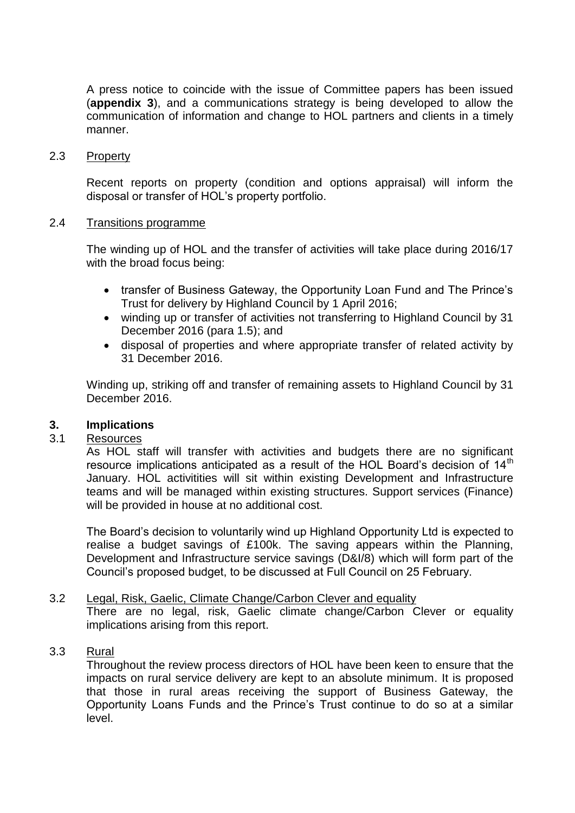A press notice to coincide with the issue of Committee papers has been issued (**appendix 3**), and a communications strategy is being developed to allow the communication of information and change to HOL partners and clients in a timely manner.

2.3 Property

Recent reports on property (condition and options appraisal) will inform the disposal or transfer of HOL's property portfolio.

#### 2.4 Transitions programme

The winding up of HOL and the transfer of activities will take place during 2016/17 with the broad focus being:

- transfer of Business Gateway, the Opportunity Loan Fund and The Prince's Trust for delivery by Highland Council by 1 April 2016;
- winding up or transfer of activities not transferring to Highland Council by 31 December 2016 (para 1.5); and
- disposal of properties and where appropriate transfer of related activity by 31 December 2016.

Winding up, striking off and transfer of remaining assets to Highland Council by 31 December 2016.

### **3. Implications**

## 3.1 Resources

As HOL staff will transfer with activities and budgets there are no significant resource implications anticipated as a result of the HOL Board's decision of 14<sup>th</sup> January. HOL activitities will sit within existing Development and Infrastructure teams and will be managed within existing structures. Support services (Finance) will be provided in house at no additional cost.

The Board's decision to voluntarily wind up Highland Opportunity Ltd is expected to realise a budget savings of £100k. The saving appears within the Planning, Development and Infrastructure service savings (D&I/8) which will form part of the Council's proposed budget, to be discussed at Full Council on 25 February.

### 3.2 Legal, Risk, Gaelic, Climate Change/Carbon Clever and equality There are no legal, risk, Gaelic climate change/Carbon Clever or equality implications arising from this report.

#### 3.3 Rural

Throughout the review process directors of HOL have been keen to ensure that the impacts on rural service delivery are kept to an absolute minimum. It is proposed that those in rural areas receiving the support of Business Gateway, the Opportunity Loans Funds and the Prince's Trust continue to do so at a similar level.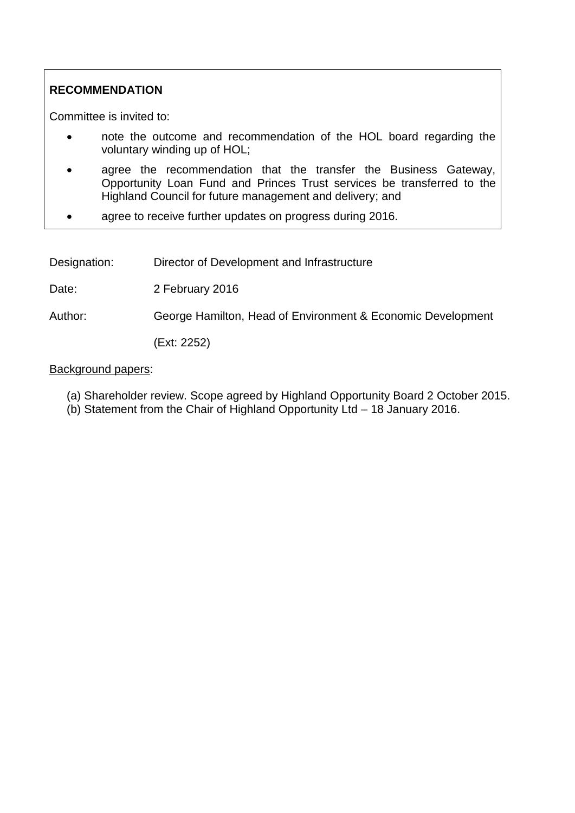# **RECOMMENDATION**

Committee is invited to:

- note the outcome and recommendation of the HOL board regarding the voluntary winding up of HOL;
- agree the recommendation that the transfer the Business Gateway, Opportunity Loan Fund and Princes Trust services be transferred to the Highland Council for future management and delivery; and
- agree to receive further updates on progress during 2016.

Designation: Director of Development and Infrastructure

Date: 2 February 2016

Author: George Hamilton, Head of Environment & Economic Development

(Ext: 2252)

### Background papers:

- (a) Shareholder review. Scope agreed by Highland Opportunity Board 2 October 2015.
- (b) Statement from the Chair of Highland Opportunity Ltd 18 January 2016.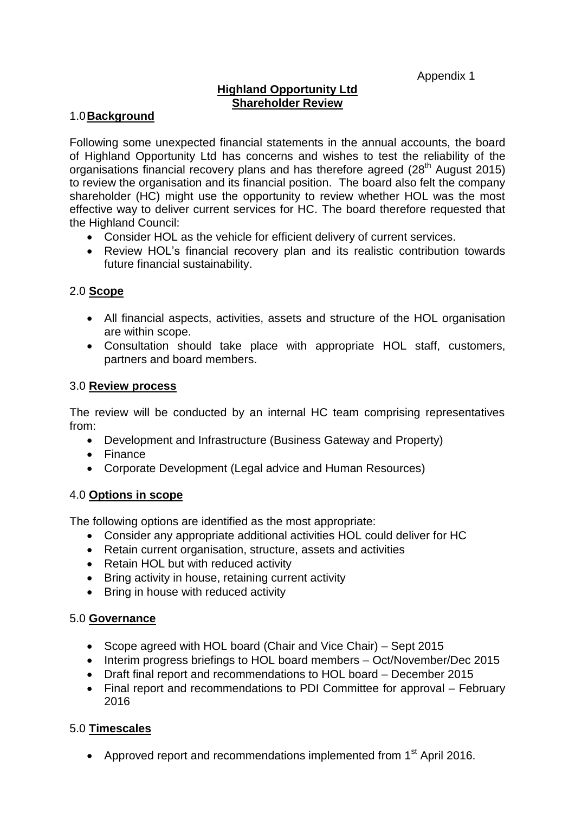Appendix 1

# **Highland Opportunity Ltd Shareholder Review**

### 1.0**Background**

Following some unexpected financial statements in the annual accounts, the board of Highland Opportunity Ltd has concerns and wishes to test the reliability of the organisations financial recovery plans and has therefore agreed (28<sup>th</sup> August 2015) to review the organisation and its financial position. The board also felt the company shareholder (HC) might use the opportunity to review whether HOL was the most effective way to deliver current services for HC. The board therefore requested that the Highland Council:

- Consider HOL as the vehicle for efficient delivery of current services.
- Review HOL's financial recovery plan and its realistic contribution towards future financial sustainability.

### 2.0 **Scope**

- All financial aspects, activities, assets and structure of the HOL organisation are within scope.
- Consultation should take place with appropriate HOL staff, customers, partners and board members.

#### 3.0 **Review process**

The review will be conducted by an internal HC team comprising representatives from:

- Development and Infrastructure (Business Gateway and Property)
- Finance
- Corporate Development (Legal advice and Human Resources)

### 4.0 **Options in scope**

The following options are identified as the most appropriate:

- Consider any appropriate additional activities HOL could deliver for HC
- Retain current organisation, structure, assets and activities
- Retain HOL but with reduced activity
- Bring activity in house, retaining current activity
- Bring in house with reduced activity

### 5.0 **Governance**

- Scope agreed with HOL board (Chair and Vice Chair) Sept 2015
- Interim progress briefings to HOL board members Oct/November/Dec 2015
- Draft final report and recommendations to HOL board December 2015
- Final report and recommendations to PDI Committee for approval February 2016

### 5.0 **Timescales**

• Approved report and recommendations implemented from  $1<sup>st</sup>$  April 2016.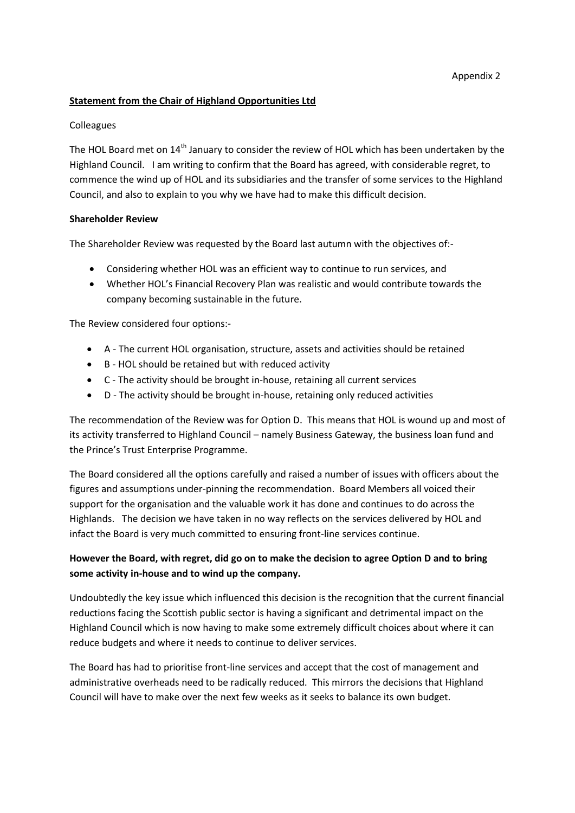#### Appendix 2

#### **Statement from the Chair of Highland Opportunities Ltd**

#### **Colleagues**

The HOL Board met on 14<sup>th</sup> January to consider the review of HOL which has been undertaken by the Highland Council. I am writing to confirm that the Board has agreed, with considerable regret, to commence the wind up of HOL and its subsidiaries and the transfer of some services to the Highland Council, and also to explain to you why we have had to make this difficult decision.

#### **Shareholder Review**

The Shareholder Review was requested by the Board last autumn with the objectives of:-

- Considering whether HOL was an efficient way to continue to run services, and
- Whether HOL's Financial Recovery Plan was realistic and would contribute towards the company becoming sustainable in the future.

The Review considered four options:-

- A The current HOL organisation, structure, assets and activities should be retained
- B HOL should be retained but with reduced activity
- C The activity should be brought in-house, retaining all current services
- D The activity should be brought in-house, retaining only reduced activities

The recommendation of the Review was for Option D. This means that HOL is wound up and most of its activity transferred to Highland Council – namely Business Gateway, the business loan fund and the Prince's Trust Enterprise Programme.

The Board considered all the options carefully and raised a number of issues with officers about the figures and assumptions under-pinning the recommendation. Board Members all voiced their support for the organisation and the valuable work it has done and continues to do across the Highlands. The decision we have taken in no way reflects on the services delivered by HOL and infact the Board is very much committed to ensuring front-line services continue.

#### **However the Board, with regret, did go on to make the decision to agree Option D and to bring some activity in-house and to wind up the company.**

Undoubtedly the key issue which influenced this decision is the recognition that the current financial reductions facing the Scottish public sector is having a significant and detrimental impact on the Highland Council which is now having to make some extremely difficult choices about where it can reduce budgets and where it needs to continue to deliver services.

The Board has had to prioritise front-line services and accept that the cost of management and administrative overheads need to be radically reduced. This mirrors the decisions that Highland Council will have to make over the next few weeks as it seeks to balance its own budget.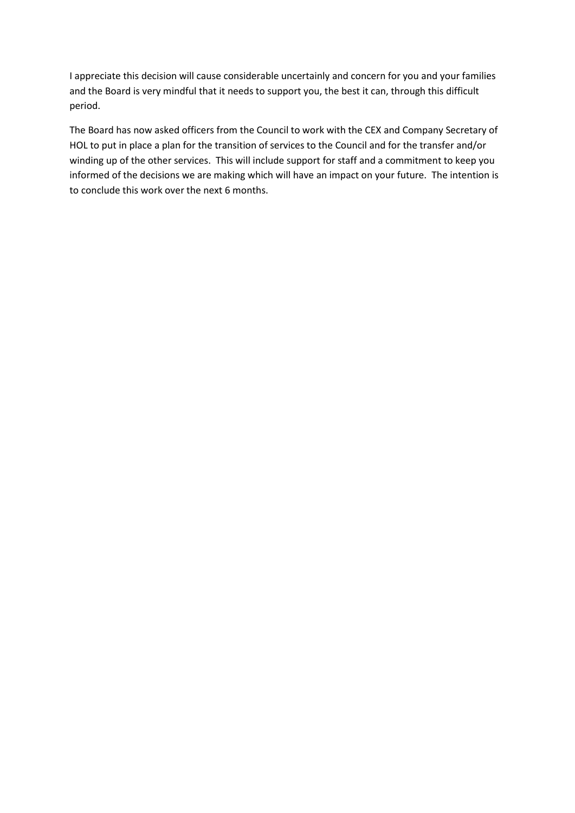I appreciate this decision will cause considerable uncertainly and concern for you and your families and the Board is very mindful that it needs to support you, the best it can, through this difficult period.

The Board has now asked officers from the Council to work with the CEX and Company Secretary of HOL to put in place a plan for the transition of services to the Council and for the transfer and/or winding up of the other services. This will include support for staff and a commitment to keep you informed of the decisions we are making which will have an impact on your future. The intention is to conclude this work over the next 6 months.